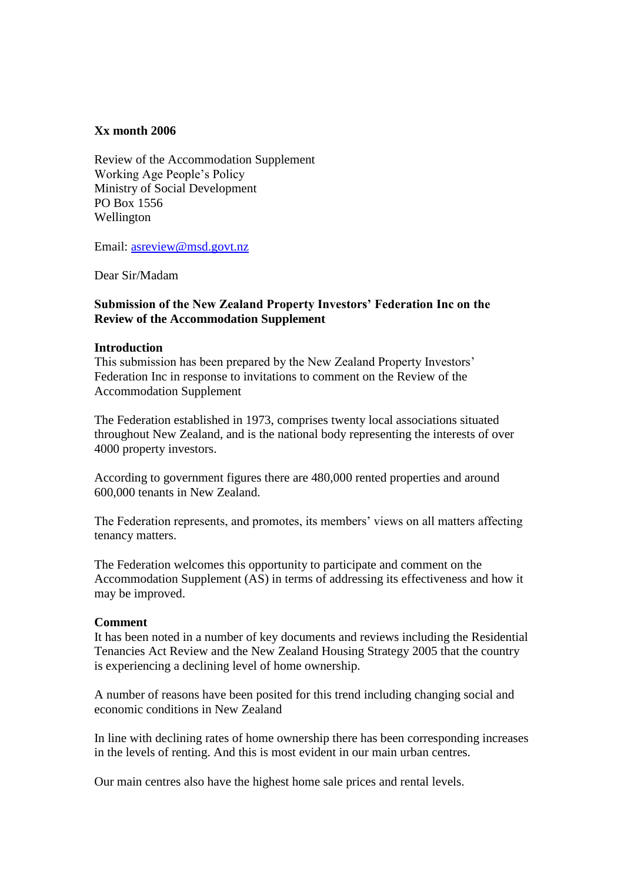## **Xx month 2006**

Review of the Accommodation Supplement Working Age People's Policy Ministry of Social Development PO Box 1556 Wellington

Email: [asreview@msd.govt.nz](mailto:asreview@msd.govt.nz)

Dear Sir/Madam

# **Submission of the New Zealand Property Investors' Federation Inc on the Review of the Accommodation Supplement**

## **Introduction**

This submission has been prepared by the New Zealand Property Investors' Federation Inc in response to invitations to comment on the Review of the Accommodation Supplement

The Federation established in 1973, comprises twenty local associations situated throughout New Zealand, and is the national body representing the interests of over 4000 property investors.

According to government figures there are 480,000 rented properties and around 600,000 tenants in New Zealand.

The Federation represents, and promotes, its members' views on all matters affecting tenancy matters.

The Federation welcomes this opportunity to participate and comment on the Accommodation Supplement (AS) in terms of addressing its effectiveness and how it may be improved.

### **Comment**

It has been noted in a number of key documents and reviews including the Residential Tenancies Act Review and the New Zealand Housing Strategy 2005 that the country is experiencing a declining level of home ownership.

A number of reasons have been posited for this trend including changing social and economic conditions in New Zealand

In line with declining rates of home ownership there has been corresponding increases in the levels of renting. And this is most evident in our main urban centres.

Our main centres also have the highest home sale prices and rental levels.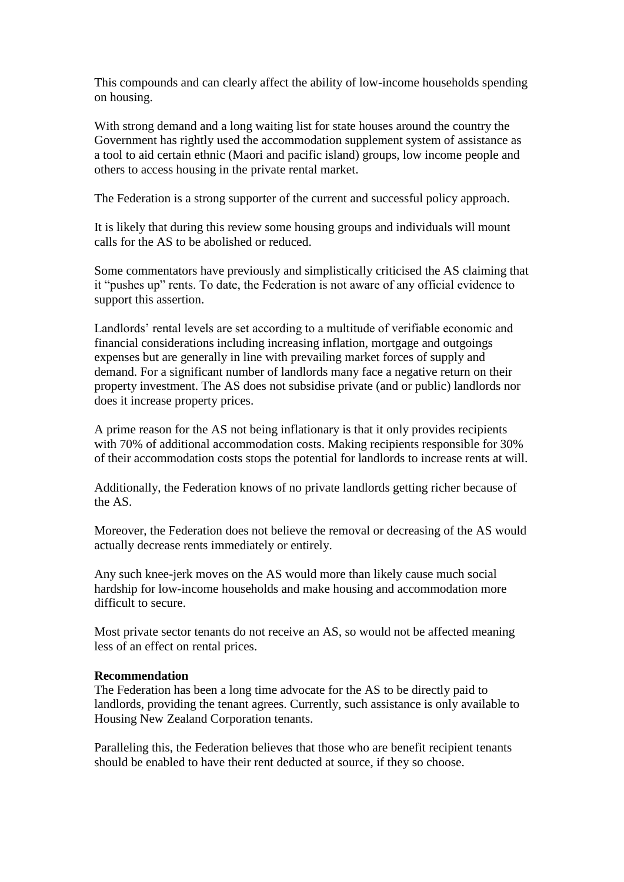This compounds and can clearly affect the ability of low-income households spending on housing.

With strong demand and a long waiting list for state houses around the country the Government has rightly used the accommodation supplement system of assistance as a tool to aid certain ethnic (Maori and pacific island) groups, low income people and others to access housing in the private rental market.

The Federation is a strong supporter of the current and successful policy approach.

It is likely that during this review some housing groups and individuals will mount calls for the AS to be abolished or reduced.

Some commentators have previously and simplistically criticised the AS claiming that it "pushes up" rents. To date, the Federation is not aware of any official evidence to support this assertion.

Landlords' rental levels are set according to a multitude of verifiable economic and financial considerations including increasing inflation, mortgage and outgoings expenses but are generally in line with prevailing market forces of supply and demand. For a significant number of landlords many face a negative return on their property investment. The AS does not subsidise private (and or public) landlords nor does it increase property prices.

A prime reason for the AS not being inflationary is that it only provides recipients with 70% of additional accommodation costs. Making recipients responsible for 30% of their accommodation costs stops the potential for landlords to increase rents at will.

Additionally, the Federation knows of no private landlords getting richer because of the AS.

Moreover, the Federation does not believe the removal or decreasing of the AS would actually decrease rents immediately or entirely.

Any such knee-jerk moves on the AS would more than likely cause much social hardship for low-income households and make housing and accommodation more difficult to secure.

Most private sector tenants do not receive an AS, so would not be affected meaning less of an effect on rental prices.

### **Recommendation**

The Federation has been a long time advocate for the AS to be directly paid to landlords, providing the tenant agrees. Currently, such assistance is only available to Housing New Zealand Corporation tenants.

Paralleling this, the Federation believes that those who are benefit recipient tenants should be enabled to have their rent deducted at source, if they so choose.